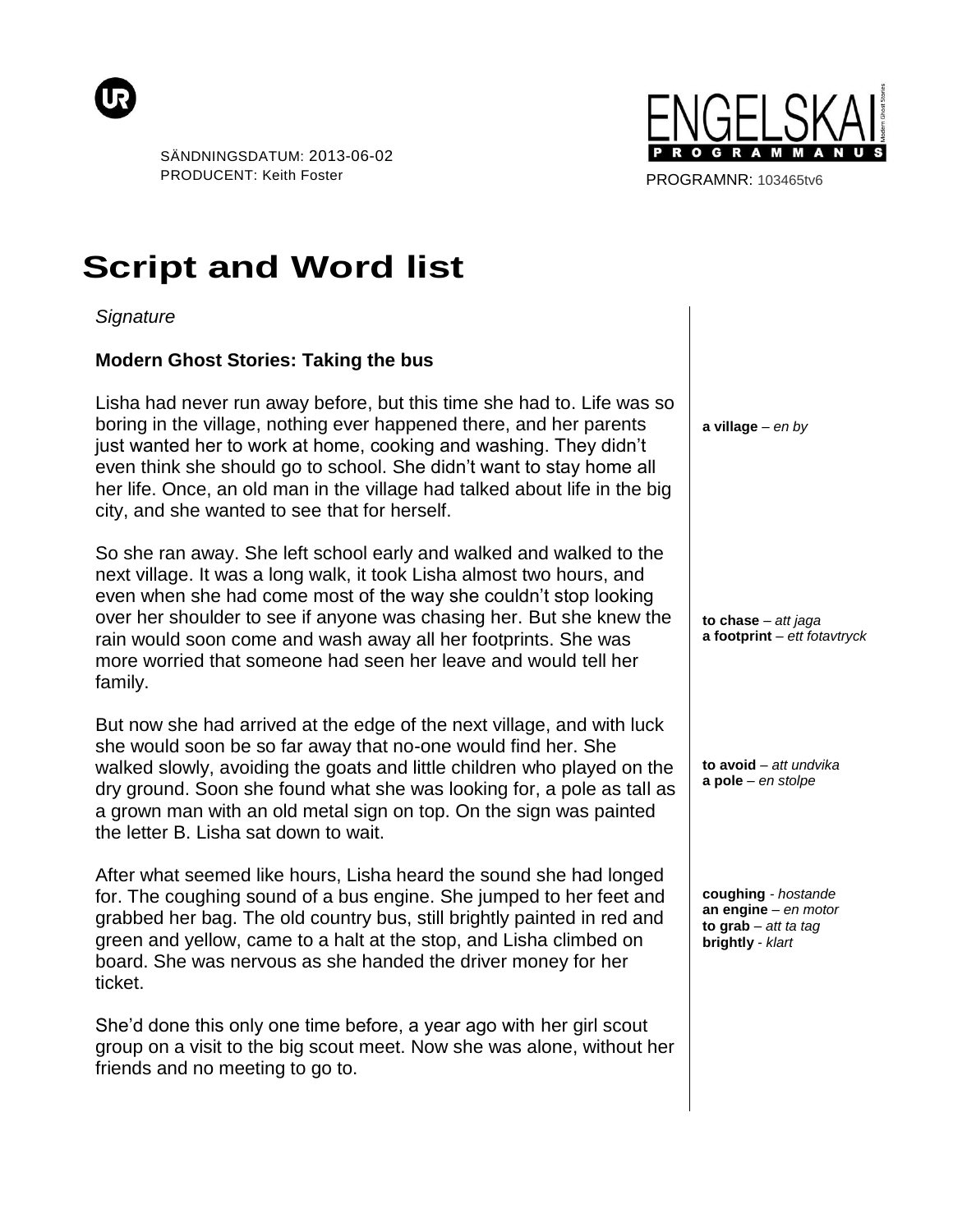



PROGRAMNR: 103465tv6

## **Script and Word list**

*Signature*

## **Modern Ghost Stories: Taking the bus**

Lisha had never run away before, but this time she had to. Life was so boring in the village, nothing ever happened there, and her parents just wanted her to work at home, cooking and washing. They didn't even think she should go to school. She didn't want to stay home all her life. Once, an old man in the village had talked about life in the big city, and she wanted to see that for herself.

So she ran away. She left school early and walked and walked to the next village. It was a long walk, it took Lisha almost two hours, and even when she had come most of the way she couldn't stop looking over her shoulder to see if anyone was chasing her. But she knew the rain would soon come and wash away all her footprints. She was more worried that someone had seen her leave and would tell her family.

But now she had arrived at the edge of the next village, and with luck she would soon be so far away that no-one would find her. She walked slowly, avoiding the goats and little children who played on the dry ground. Soon she found what she was looking for, a pole as tall as a grown man with an old metal sign on top. On the sign was painted the letter B. Lisha sat down to wait.

After what seemed like hours, Lisha heard the sound she had longed for. The coughing sound of a bus engine. She jumped to her feet and grabbed her bag. The old country bus, still brightly painted in red and green and yellow, came to a halt at the stop, and Lisha climbed on board. She was nervous as she handed the driver money for her ticket.

She'd done this only one time before, a year ago with her girl scout group on a visit to the big scout meet. Now she was alone, without her friends and no meeting to go to.

**a village** *– en by*

**to chase** *– att jaga* **a footprint** *– ett fotavtryck*

**to avoid** *– att undvika* **a pole** *– en stolpe*

**coughing** *- hostande* **an engine** *– en motor* **to grab** *– att ta tag* **brightly** *- klart*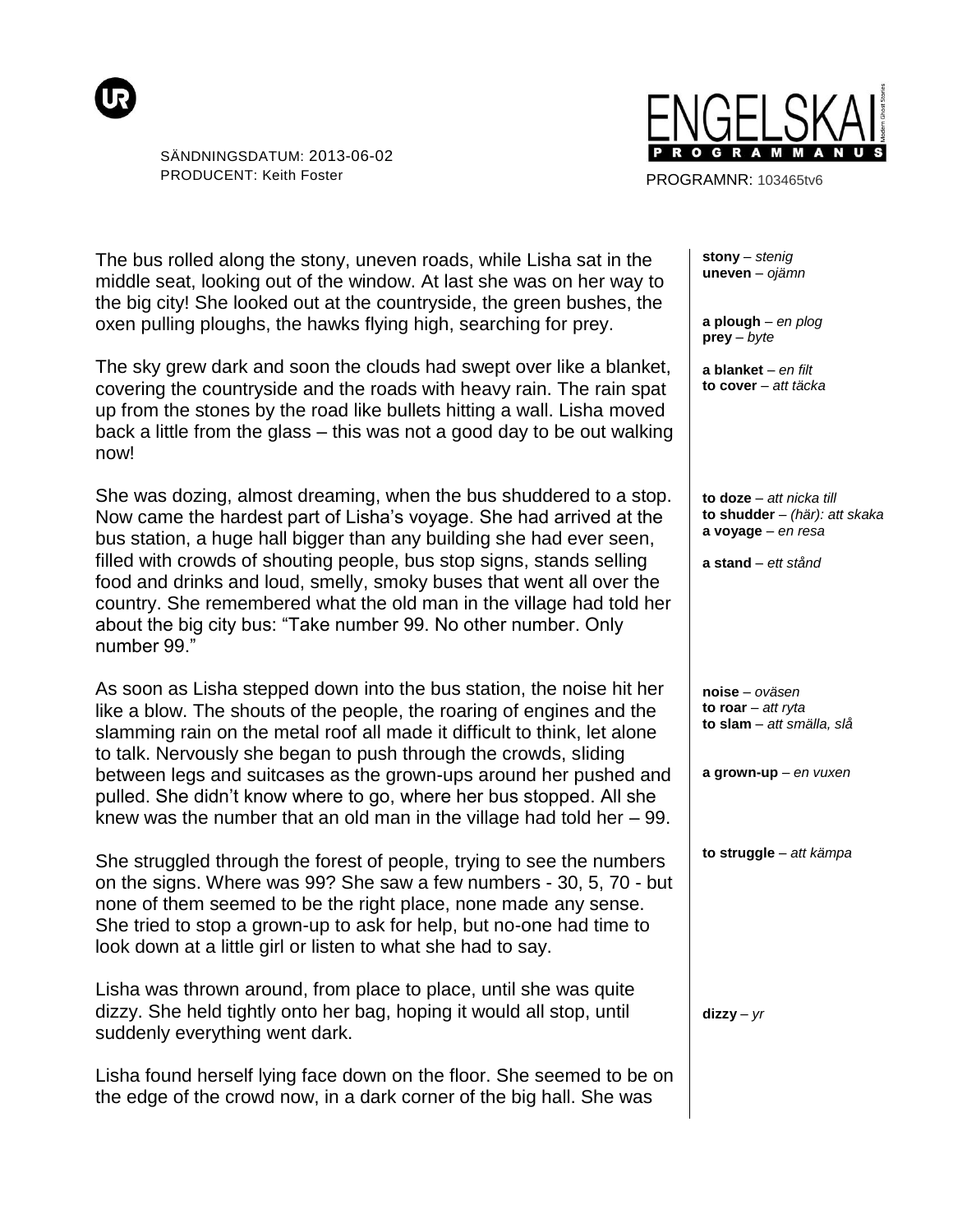



PROGRAMNR: 103465tv6

The bus rolled along the stony, uneven roads, while Lisha sat in the middle seat, looking out of the window. At last she was on her way to the big city! She looked out at the countryside, the green bushes, the oxen pulling ploughs, the hawks flying high, searching for prey.

The sky grew dark and soon the clouds had swept over like a blanket, covering the countryside and the roads with heavy rain. The rain spat up from the stones by the road like bullets hitting a wall. Lisha moved back a little from the glass – this was not a good day to be out walking now!

She was dozing, almost dreaming, when the bus shuddered to a stop. Now came the hardest part of Lisha's voyage. She had arrived at the bus station, a huge hall bigger than any building she had ever seen, filled with crowds of shouting people, bus stop signs, stands selling food and drinks and loud, smelly, smoky buses that went all over the country. She remembered what the old man in the village had told her about the big city bus: "Take number 99. No other number. Only number 99."

As soon as Lisha stepped down into the bus station, the noise hit her like a blow. The shouts of the people, the roaring of engines and the slamming rain on the metal roof all made it difficult to think, let alone to talk. Nervously she began to push through the crowds, sliding between legs and suitcases as the grown-ups around her pushed and pulled. She didn't know where to go, where her bus stopped. All she knew was the number that an old man in the village had told her – 99.

She struggled through the forest of people, trying to see the numbers on the signs. Where was 99? She saw a few numbers - 30, 5, 70 - but none of them seemed to be the right place, none made any sense. She tried to stop a grown-up to ask for help, but no-one had time to look down at a little girl or listen to what she had to say.

Lisha was thrown around, from place to place, until she was quite dizzy. She held tightly onto her bag, hoping it would all stop, until suddenly everything went dark.

Lisha found herself lying face down on the floor. She seemed to be on the edge of the crowd now, in a dark corner of the big hall. She was

**stony** *– stenig* **uneven** *– ojämn*

**a plough** *– en plog* **prey** *– byte*

**a blanket** *– en filt* **to cover** *– att täcka*

**to doze** *– att nicka till* **to shudder** *– (här): att skaka*  **a voyage** *– en resa*

**a stand** *– ett stånd*

**noise** *– oväsen* **to roar** *– att ryta* **to slam** *– att smälla, slå*

**a grown-up** *– en vuxen* 

**to struggle** *– att kämpa*

 $\mathbf{d}$ **izzy** –  $\gamma r$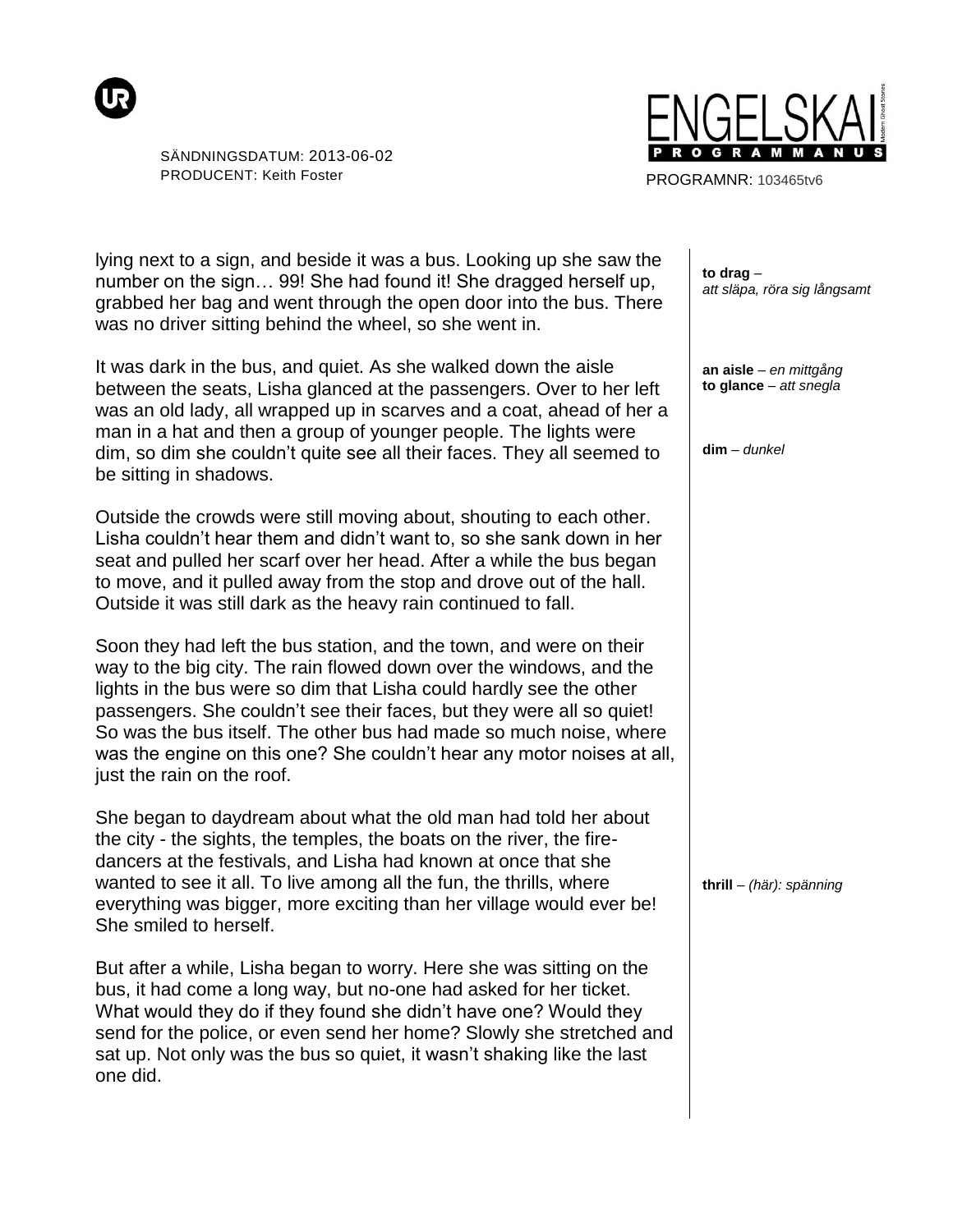



PROGRAMNR: 103465tv6

lying next to a sign, and beside it was a bus. Looking up she saw the number on the sign… 99! She had found it! She dragged herself up, grabbed her bag and went through the open door into the bus. There was no driver sitting behind the wheel, so she went in.

It was dark in the bus, and quiet. As she walked down the aisle between the seats, Lisha glanced at the passengers. Over to her left was an old lady, all wrapped up in scarves and a coat, ahead of her a man in a hat and then a group of younger people. The lights were dim, so dim she couldn't quite see all their faces. They all seemed to be sitting in shadows.

Outside the crowds were still moving about, shouting to each other. Lisha couldn't hear them and didn't want to, so she sank down in her seat and pulled her scarf over her head. After a while the bus began to move, and it pulled away from the stop and drove out of the hall. Outside it was still dark as the heavy rain continued to fall.

Soon they had left the bus station, and the town, and were on their way to the big city. The rain flowed down over the windows, and the lights in the bus were so dim that Lisha could hardly see the other passengers. She couldn't see their faces, but they were all so quiet! So was the bus itself. The other bus had made so much noise, where was the engine on this one? She couldn't hear any motor noises at all, just the rain on the roof.

She began to daydream about what the old man had told her about the city - the sights, the temples, the boats on the river, the firedancers at the festivals, and Lisha had known at once that she wanted to see it all. To live among all the fun, the thrills, where everything was bigger, more exciting than her village would ever be! She smiled to herself.

But after a while, Lisha began to worry. Here she was sitting on the bus, it had come a long way, but no-one had asked for her ticket. What would they do if they found she didn't have one? Would they send for the police, or even send her home? Slowly she stretched and sat up. Not only was the bus so quiet, it wasn't shaking like the last one did.

**to drag** *– att släpa, röra sig långsamt*

**an aisle** *– en mittgång* **to glance** *– att snegla*

**dim** *– dunkel*

**thrill** *– (här): spänning*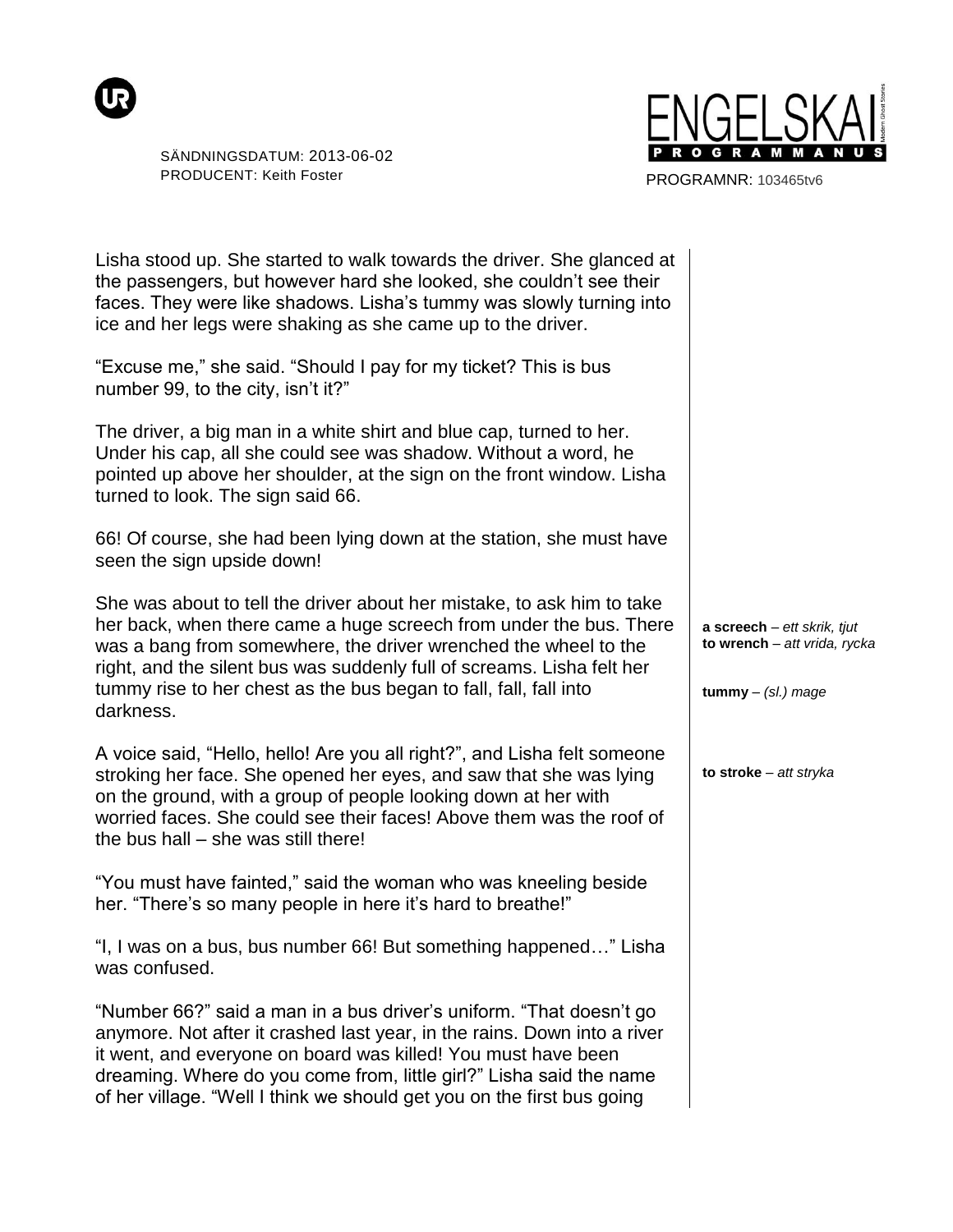



PROGRAMNR: 103465tv6

| Lisha stood up. She started to walk towards the driver. She glanced at<br>the passengers, but however hard she looked, she couldn't see their<br>faces. They were like shadows. Lisha's tummy was slowly turning into<br>ice and her legs were shaking as she came up to the driver.                                                                                        |                                                                                          |
|-----------------------------------------------------------------------------------------------------------------------------------------------------------------------------------------------------------------------------------------------------------------------------------------------------------------------------------------------------------------------------|------------------------------------------------------------------------------------------|
| "Excuse me," she said. "Should I pay for my ticket? This is bus<br>number 99, to the city, isn't it?"                                                                                                                                                                                                                                                                       |                                                                                          |
| The driver, a big man in a white shirt and blue cap, turned to her.<br>Under his cap, all she could see was shadow. Without a word, he<br>pointed up above her shoulder, at the sign on the front window. Lisha<br>turned to look. The sign said 66.                                                                                                                        |                                                                                          |
| 66! Of course, she had been lying down at the station, she must have<br>seen the sign upside down!                                                                                                                                                                                                                                                                          |                                                                                          |
| She was about to tell the driver about her mistake, to ask him to take<br>her back, when there came a huge screech from under the bus. There<br>was a bang from somewhere, the driver wrenched the wheel to the<br>right, and the silent bus was suddenly full of screams. Lisha felt her<br>tummy rise to her chest as the bus began to fall, fall, fall into<br>darkness. | $a$ screech - ett skrik, tjut<br>to wrench - att vrida, rycka<br>$t$ ummy $-$ (sl.) mage |
| A voice said, "Hello, hello! Are you all right?", and Lisha felt someone<br>stroking her face. She opened her eyes, and saw that she was lying<br>on the ground, with a group of people looking down at her with<br>worried faces. She could see their faces! Above them was the roof of<br>the bus hall – she was still there!                                             | to stroke - att stryka                                                                   |
| "You must have fainted," said the woman who was kneeling beside<br>her. "There's so many people in here it's hard to breathe!"                                                                                                                                                                                                                                              |                                                                                          |
| "I, I was on a bus, bus number 66! But something happened" Lisha<br>was confused.                                                                                                                                                                                                                                                                                           |                                                                                          |
| "Number 66?" said a man in a bus driver's uniform. "That doesn't go<br>anymore. Not after it crashed last year, in the rains. Down into a river<br>it went, and everyone on board was killed! You must have been<br>dreaming. Where do you come from, little girl?" Lisha said the name<br>of her village. "Well I think we should get you on the first bus going           |                                                                                          |